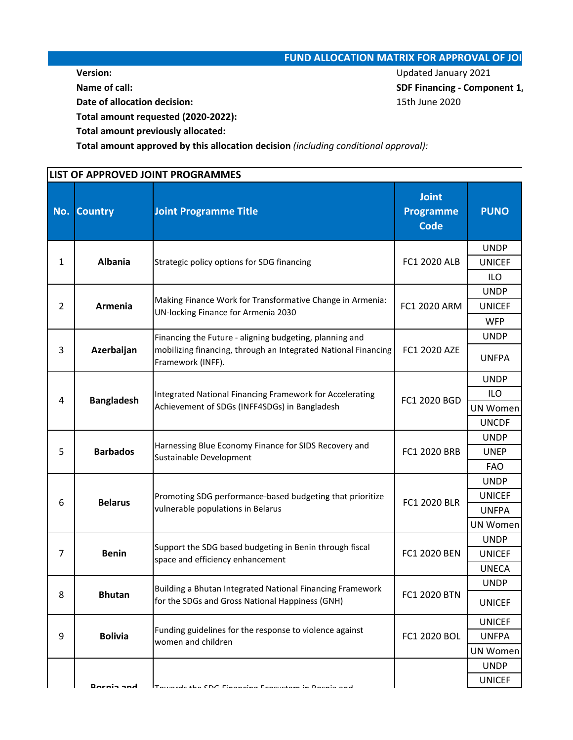## **FUND ALLOCATION MATRIX FOR APPROVAL OF JOI**

**Date of allocation decision:** 15th June 2020

**Version:** Updated January 2021 **Name of call:** SDF Financing - Component 1,

**Total amount requested (2020-2022):**

**Total amount previously allocated:**

**Total amount approved by this allocation decision** *(including conditional approval):*

|                | LIST OF APPROVED JOINT PROGRAMMES                                                                                              |                                                                                                                                                |                                                 |                              |  |
|----------------|--------------------------------------------------------------------------------------------------------------------------------|------------------------------------------------------------------------------------------------------------------------------------------------|-------------------------------------------------|------------------------------|--|
| No.            | <b>Joint Programme Title</b><br><b>Country</b>                                                                                 |                                                                                                                                                | <b>Joint</b><br><b>Programme</b><br><b>Code</b> | <b>PUNO</b>                  |  |
|                |                                                                                                                                |                                                                                                                                                |                                                 | <b>UNDP</b>                  |  |
| $\mathbf{1}$   | <b>Albania</b>                                                                                                                 | Strategic policy options for SDG financing                                                                                                     | FC1 2020 ALB                                    | <b>UNICEF</b>                |  |
|                |                                                                                                                                |                                                                                                                                                |                                                 | <b>ILO</b>                   |  |
|                |                                                                                                                                | Making Finance Work for Transformative Change in Armenia:                                                                                      |                                                 | <b>UNDP</b>                  |  |
| $\overline{2}$ | Armenia                                                                                                                        | UN-locking Finance for Armenia 2030                                                                                                            | FC1 2020 ARM                                    | <b>UNICEF</b>                |  |
|                |                                                                                                                                |                                                                                                                                                |                                                 | <b>WFP</b>                   |  |
| 3              | Azerbaijan                                                                                                                     | Financing the Future - aligning budgeting, planning and<br>mobilizing financing, through an Integrated National Financing<br>Framework (INFF). | FC1 2020 AZE                                    | <b>UNDP</b><br><b>UNFPA</b>  |  |
|                | Integrated National Financing Framework for Accelerating<br><b>Bangladesh</b><br>Achievement of SDGs (INFF4SDGs) in Bangladesh |                                                                                                                                                | <b>UNDP</b>                                     |                              |  |
| 4              |                                                                                                                                |                                                                                                                                                | FC1 2020 BGD                                    | <b>ILO</b>                   |  |
|                |                                                                                                                                |                                                                                                                                                |                                                 | <b>UN Women</b>              |  |
|                |                                                                                                                                |                                                                                                                                                |                                                 | <b>UNCDF</b>                 |  |
| 5              | <b>Barbados</b>                                                                                                                | Harnessing Blue Economy Finance for SIDS Recovery and<br>Sustainable Development                                                               | FC1 2020 BRB                                    | <b>UNDP</b>                  |  |
|                |                                                                                                                                |                                                                                                                                                |                                                 | <b>UNEP</b>                  |  |
|                |                                                                                                                                |                                                                                                                                                |                                                 | <b>FAO</b>                   |  |
|                | <b>Belarus</b>                                                                                                                 | Promoting SDG performance-based budgeting that prioritize<br>vulnerable populations in Belarus                                                 | FC1 2020 BLR                                    | <b>UNDP</b>                  |  |
| 6              |                                                                                                                                |                                                                                                                                                |                                                 | <b>UNICEF</b>                |  |
|                |                                                                                                                                |                                                                                                                                                |                                                 | <b>UNFPA</b>                 |  |
|                |                                                                                                                                |                                                                                                                                                |                                                 | <b>UN Women</b>              |  |
|                |                                                                                                                                | Support the SDG based budgeting in Benin through fiscal                                                                                        | FC1 2020 BEN                                    | <b>UNDP</b>                  |  |
| $\overline{7}$ | <b>Benin</b>                                                                                                                   | space and efficiency enhancement                                                                                                               |                                                 | <b>UNICEF</b>                |  |
|                |                                                                                                                                |                                                                                                                                                |                                                 | <b>UNECA</b>                 |  |
| 8              | Building a Bhutan Integrated National Financing Framework<br><b>Bhutan</b><br>for the SDGs and Gross National Happiness (GNH)  |                                                                                                                                                | FC1 2020 BTN                                    | <b>UNDP</b><br><b>UNICEF</b> |  |
|                |                                                                                                                                |                                                                                                                                                |                                                 | <b>UNICEF</b>                |  |
| 9              | <b>Bolivia</b>                                                                                                                 | Funding guidelines for the response to violence against                                                                                        | FC1 2020 BOL                                    | <b>UNFPA</b>                 |  |
|                |                                                                                                                                | women and children                                                                                                                             |                                                 | UN Women                     |  |
|                |                                                                                                                                |                                                                                                                                                |                                                 | <b>UNDP</b>                  |  |
|                | <b>Rocnia and</b>                                                                                                              | Towards the CDC Einansing Esseuctom in Desnie and                                                                                              |                                                 | <b>UNICEF</b>                |  |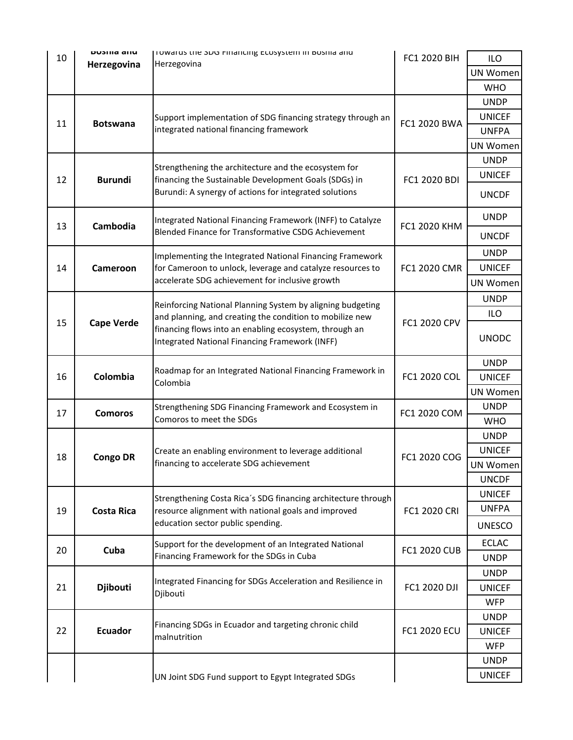| 10                      | <b>DUSING GILL</b>                                                                                   | ון וויז דער אוויז אינטאן וויז די אוויז אינטאן וויז אינטאן וויז אוויז אוויז אוויז אווי                                |                     | <b>ILO</b>                   |
|-------------------------|------------------------------------------------------------------------------------------------------|----------------------------------------------------------------------------------------------------------------------|---------------------|------------------------------|
|                         | Herzegovina                                                                                          | Herzegovina                                                                                                          |                     | <b>UN Women</b>              |
|                         |                                                                                                      |                                                                                                                      |                     | <b>WHO</b>                   |
|                         |                                                                                                      |                                                                                                                      |                     | <b>UNDP</b>                  |
|                         |                                                                                                      | Support implementation of SDG financing strategy through an                                                          |                     | <b>UNICEF</b>                |
| 11                      | <b>Botswana</b>                                                                                      | integrated national financing framework                                                                              | FC1 2020 BWA        | <b>UNFPA</b>                 |
|                         |                                                                                                      |                                                                                                                      |                     | <b>UN Women</b>              |
|                         |                                                                                                      | Strengthening the architecture and the ecosystem for                                                                 |                     | <b>UNDP</b>                  |
| 12                      | <b>Burundi</b>                                                                                       | financing the Sustainable Development Goals (SDGs) in                                                                | FC1 2020 BDI        | <b>UNICEF</b>                |
|                         |                                                                                                      | Burundi: A synergy of actions for integrated solutions                                                               |                     | <b>UNCDF</b>                 |
| 13                      | Cambodia                                                                                             | Integrated National Financing Framework (INFF) to Catalyze                                                           | FC1 2020 KHM        | <b>UNDP</b>                  |
|                         |                                                                                                      | Blended Finance for Transformative CSDG Achievement                                                                  |                     | <b>UNCDF</b>                 |
|                         |                                                                                                      | Implementing the Integrated National Financing Framework                                                             |                     | <b>UNDP</b>                  |
| 14                      | Cameroon                                                                                             | for Cameroon to unlock, leverage and catalyze resources to                                                           | FC1 2020 CMR        | <b>UNICEF</b>                |
|                         |                                                                                                      | accelerate SDG achievement for inclusive growth                                                                      |                     | UN Women                     |
|                         |                                                                                                      | Reinforcing National Planning System by aligning budgeting                                                           |                     | <b>UNDP</b>                  |
|                         |                                                                                                      | and planning, and creating the condition to mobilize new                                                             |                     | ILO                          |
| 15<br><b>Cape Verde</b> |                                                                                                      | financing flows into an enabling ecosystem, through an<br><b>Integrated National Financing Framework (INFF)</b>      | FC1 2020 CPV        | <b>UNODC</b>                 |
|                         |                                                                                                      | Roadmap for an Integrated National Financing Framework in                                                            |                     | <b>UNDP</b>                  |
| 16                      | Colombia                                                                                             | Colombia                                                                                                             | FC1 2020 COL        | <b>UNICEF</b>                |
|                         |                                                                                                      |                                                                                                                      |                     | <b>UN Women</b>              |
| 17                      | Strengthening SDG Financing Framework and Ecosystem in<br><b>Comoros</b><br>Comoros to meet the SDGs |                                                                                                                      | FC1 2020 COM        | <b>UNDP</b>                  |
|                         |                                                                                                      |                                                                                                                      |                     | <b>WHO</b>                   |
|                         |                                                                                                      | Create an enabling environment to leverage additional<br>financing to accelerate SDG achievement                     | FC1 2020 COG        | <b>UNDP</b><br><b>UNICEF</b> |
| 18                      | <b>Congo DR</b>                                                                                      |                                                                                                                      |                     | UN Women                     |
|                         |                                                                                                      |                                                                                                                      |                     | <b>UNCDF</b>                 |
|                         |                                                                                                      |                                                                                                                      |                     | <b>UNICEF</b>                |
| 19                      | <b>Costa Rica</b>                                                                                    | Strengthening Costa Rica's SDG financing architecture through<br>resource alignment with national goals and improved | FC1 2020 CRI        | <b>UNFPA</b>                 |
|                         |                                                                                                      | education sector public spending.                                                                                    |                     | <b>UNESCO</b>                |
| 20                      | Cuba                                                                                                 | Support for the development of an Integrated National                                                                | <b>FC1 2020 CUB</b> | <b>ECLAC</b>                 |
|                         |                                                                                                      | Financing Framework for the SDGs in Cuba                                                                             |                     | <b>UNDP</b>                  |
|                         |                                                                                                      | Integrated Financing for SDGs Acceleration and Resilience in                                                         | FC1 2020 DJI        | <b>UNDP</b>                  |
| 21                      | <b>Djibouti</b>                                                                                      | Djibouti                                                                                                             |                     | <b>UNICEF</b>                |
|                         |                                                                                                      |                                                                                                                      |                     | <b>WFP</b>                   |
|                         |                                                                                                      | Financing SDGs in Ecuador and targeting chronic child                                                                |                     | <b>UNDP</b>                  |
| 22                      | <b>Ecuador</b>                                                                                       | malnutrition                                                                                                         | <b>FC1 2020 ECU</b> | <b>UNICEF</b>                |
|                         |                                                                                                      |                                                                                                                      |                     | <b>WFP</b>                   |
|                         |                                                                                                      |                                                                                                                      |                     | <b>UNDP</b>                  |
|                         |                                                                                                      | UN Joint SDG Fund support to Egypt Integrated SDGs                                                                   |                     | <b>UNICEF</b>                |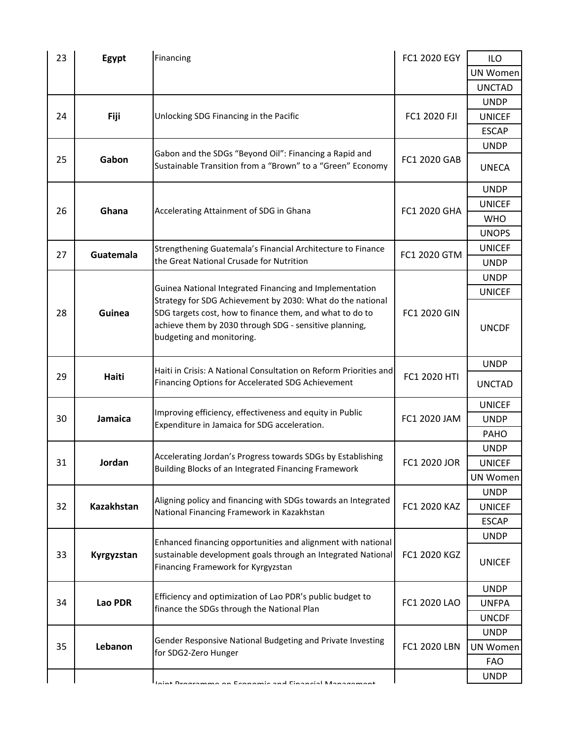| 23            | Egypt             | Financing                                                                                                             | FC1 2020 EGY | ILO             |
|---------------|-------------------|-----------------------------------------------------------------------------------------------------------------------|--------------|-----------------|
|               |                   |                                                                                                                       |              | <b>UN Women</b> |
|               |                   |                                                                                                                       |              | <b>UNCTAD</b>   |
|               |                   |                                                                                                                       |              | <b>UNDP</b>     |
| 24            | Fiji              | Unlocking SDG Financing in the Pacific                                                                                | FC1 2020 FJI | <b>UNICEF</b>   |
|               |                   |                                                                                                                       |              | <b>ESCAP</b>    |
|               |                   | Gabon and the SDGs "Beyond Oil": Financing a Rapid and                                                                |              | <b>UNDP</b>     |
| 25            | Gabon             | Sustainable Transition from a "Brown" to a "Green" Economy                                                            | FC1 2020 GAB | <b>UNECA</b>    |
|               |                   |                                                                                                                       |              | <b>UNDP</b>     |
| 26            | Ghana             | Accelerating Attainment of SDG in Ghana                                                                               | FC1 2020 GHA | <b>UNICEF</b>   |
|               |                   |                                                                                                                       |              | <b>WHO</b>      |
|               |                   |                                                                                                                       |              | <b>UNOPS</b>    |
| 27            | Guatemala         | Strengthening Guatemala's Financial Architecture to Finance                                                           | FC1 2020 GTM | <b>UNICEF</b>   |
|               |                   | the Great National Crusade for Nutrition                                                                              |              | <b>UNDP</b>     |
|               |                   |                                                                                                                       |              | <b>UNDP</b>     |
|               |                   | Guinea National Integrated Financing and Implementation<br>Strategy for SDG Achievement by 2030: What do the national |              | <b>UNICEF</b>   |
| 28            | Guinea            | SDG targets cost, how to finance them, and what to do to                                                              | FC1 2020 GIN |                 |
|               |                   | achieve them by 2030 through SDG - sensitive planning,                                                                |              | <b>UNCDF</b>    |
|               |                   | budgeting and monitoring.                                                                                             |              |                 |
|               |                   |                                                                                                                       |              | <b>UNDP</b>     |
| 29            | Haiti             | Haiti in Crisis: A National Consultation on Reform Priorities and                                                     | FC1 2020 HTI |                 |
|               |                   | Financing Options for Accelerated SDG Achievement                                                                     |              | <b>UNCTAD</b>   |
|               |                   |                                                                                                                       |              | <b>UNICEF</b>   |
| Jamaica<br>30 |                   | Improving efficiency, effectiveness and equity in Public<br>Expenditure in Jamaica for SDG acceleration.              | FC1 2020 JAM | <b>UNDP</b>     |
|               |                   |                                                                                                                       |              | PAHO            |
|               |                   | Accelerating Jordan's Progress towards SDGs by Establishing<br>Building Blocks of an Integrated Financing Framework   | FC1 2020 JOR | <b>UNDP</b>     |
| 31            | Jordan            |                                                                                                                       |              | <b>UNICEF</b>   |
|               |                   |                                                                                                                       |              | UN Women        |
|               |                   | Aligning policy and financing with SDGs towards an Integrated                                                         |              | <b>UNDP</b>     |
| 32            | <b>Kazakhstan</b> | National Financing Framework in Kazakhstan                                                                            | FC1 2020 KAZ | <b>UNICEF</b>   |
|               |                   |                                                                                                                       |              | <b>ESCAP</b>    |
|               |                   | Enhanced financing opportunities and alignment with national                                                          |              | <b>UNDP</b>     |
| 33            | Kyrgyzstan        | sustainable development goals through an Integrated National                                                          | FC1 2020 KGZ |                 |
|               |                   | Financing Framework for Kyrgyzstan                                                                                    |              | <b>UNICEF</b>   |
|               |                   |                                                                                                                       |              | <b>UNDP</b>     |
| 34            | Lao PDR           | Efficiency and optimization of Lao PDR's public budget to                                                             | FC1 2020 LAO | <b>UNFPA</b>    |
|               |                   | finance the SDGs through the National Plan                                                                            |              | <b>UNCDF</b>    |
|               | Lebanon           |                                                                                                                       | FC1 2020 LBN | <b>UNDP</b>     |
| 35            |                   | Gender Responsive National Budgeting and Private Investing                                                            |              | UN Women        |
|               |                   | for SDG2-Zero Hunger                                                                                                  |              | <b>FAO</b>      |
|               |                   |                                                                                                                       |              | <b>UNDP</b>     |
|               |                   | pain and Financial Man                                                                                                |              |                 |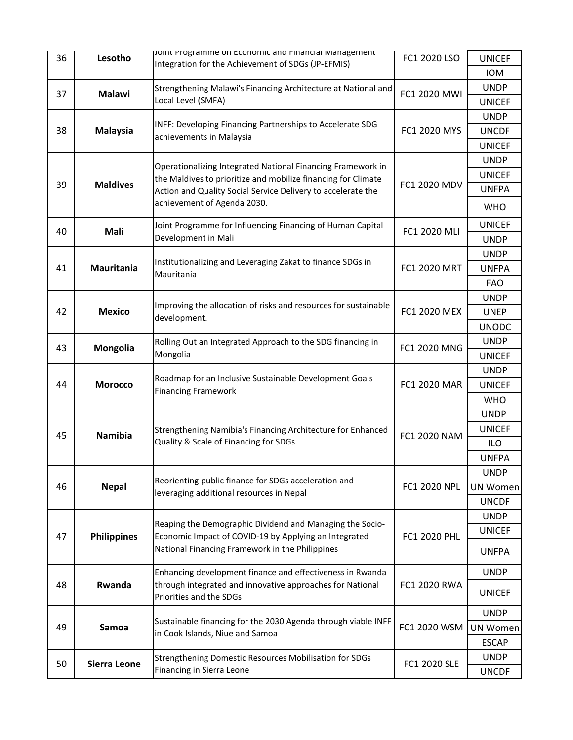| 36 | Lesotho            | point Programme on Economic and Financial Management<br>Integration for the Achievement of SDGs (JP-EFMIS) | FC1 2020 LSO        | <b>UNICEF</b> |
|----|--------------------|------------------------------------------------------------------------------------------------------------|---------------------|---------------|
|    |                    |                                                                                                            |                     | <b>IOM</b>    |
| 37 | <b>Malawi</b>      | Strengthening Malawi's Financing Architecture at National and                                              | FC1 2020 MWI        | <b>UNDP</b>   |
|    |                    | Local Level (SMFA)                                                                                         |                     | <b>UNICEF</b> |
|    |                    |                                                                                                            |                     | <b>UNDP</b>   |
| 38 | <b>Malaysia</b>    | INFF: Developing Financing Partnerships to Accelerate SDG<br>achievements in Malaysia                      | FC1 2020 MYS        | <b>UNCDF</b>  |
|    |                    |                                                                                                            |                     | <b>UNICEF</b> |
|    |                    | Operationalizing Integrated National Financing Framework in                                                |                     | <b>UNDP</b>   |
|    |                    | the Maldives to prioritize and mobilize financing for Climate                                              |                     | <b>UNICEF</b> |
| 39 | <b>Maldives</b>    | Action and Quality Social Service Delivery to accelerate the                                               | FC1 2020 MDV        | <b>UNFPA</b>  |
|    |                    | achievement of Agenda 2030.                                                                                |                     | <b>WHO</b>    |
|    |                    | Joint Programme for Influencing Financing of Human Capital                                                 |                     | <b>UNICEF</b> |
| 40 | Mali               | Development in Mali                                                                                        | FC1 2020 MLI        | <b>UNDP</b>   |
|    |                    |                                                                                                            |                     | <b>UNDP</b>   |
| 41 | <b>Mauritania</b>  | Institutionalizing and Leveraging Zakat to finance SDGs in<br>Mauritania                                   | <b>FC1 2020 MRT</b> | <b>UNFPA</b>  |
|    |                    |                                                                                                            |                     | FAO.          |
|    |                    |                                                                                                            |                     | <b>UNDP</b>   |
| 42 | <b>Mexico</b>      | Improving the allocation of risks and resources for sustainable<br>development.                            | FC1 2020 MEX        | <b>UNEP</b>   |
|    |                    |                                                                                                            |                     | <b>UNODC</b>  |
| 43 | Mongolia           | Rolling Out an Integrated Approach to the SDG financing in                                                 | FC1 2020 MNG        | <b>UNDP</b>   |
|    |                    | Mongolia                                                                                                   |                     | <b>UNICEF</b> |
|    | <b>Morocco</b>     | Roadmap for an Inclusive Sustainable Development Goals<br><b>Financing Framework</b>                       | FC1 2020 MAR        | <b>UNDP</b>   |
| 44 |                    |                                                                                                            |                     | <b>UNICEF</b> |
|    |                    |                                                                                                            |                     | <b>WHO</b>    |
|    |                    |                                                                                                            |                     | <b>UNDP</b>   |
| 45 | <b>Namibia</b>     | Strengthening Namibia's Financing Architecture for Enhanced<br>Quality & Scale of Financing for SDGs       | FC1 2020 NAM        | <b>UNICEF</b> |
|    |                    |                                                                                                            |                     | ILO           |
|    |                    |                                                                                                            |                     | <b>UNFPA</b>  |
|    |                    | Reorienting public finance for SDGs acceleration and                                                       |                     | <b>UNDP</b>   |
| 46 | <b>Nepal</b>       | leveraging additional resources in Nepal                                                                   | FC1 2020 NPL        | UN Women      |
|    |                    |                                                                                                            |                     | <b>UNCDF</b>  |
|    |                    | Reaping the Demographic Dividend and Managing the Socio-                                                   | FC1 2020 PHL        | <b>UNDP</b>   |
| 47 | <b>Philippines</b> | Economic Impact of COVID-19 by Applying an Integrated                                                      |                     | <b>UNICEF</b> |
|    |                    | National Financing Framework in the Philippines                                                            |                     | <b>UNFPA</b>  |
|    |                    | Enhancing development finance and effectiveness in Rwanda                                                  |                     | <b>UNDP</b>   |
| 48 | Rwanda             | through integrated and innovative approaches for National                                                  | FC1 2020 RWA        |               |
|    |                    | Priorities and the SDGs                                                                                    |                     | <b>UNICEF</b> |
|    |                    |                                                                                                            | FC1 2020 WSM        | <b>UNDP</b>   |
| 49 | Samoa              | Sustainable financing for the 2030 Agenda through viable INFF                                              |                     | UN Women      |
|    |                    | in Cook Islands, Niue and Samoa                                                                            |                     | <b>ESCAP</b>  |
|    |                    | Strengthening Domestic Resources Mobilisation for SDGs                                                     |                     | <b>UNDP</b>   |
| 50 | Sierra Leone       | Financing in Sierra Leone                                                                                  | FC1 2020 SLE        | <b>UNCDF</b>  |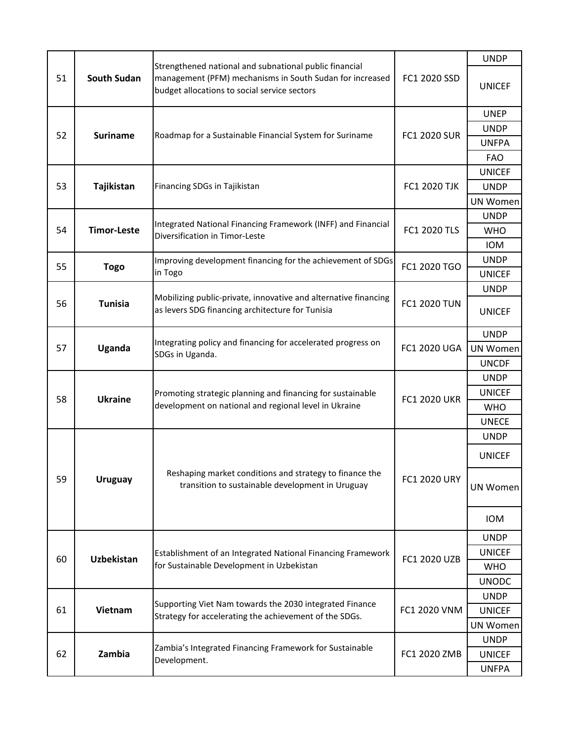|    |                    |                                                                                                                                                                    |                     | <b>UNDP</b>     |
|----|--------------------|--------------------------------------------------------------------------------------------------------------------------------------------------------------------|---------------------|-----------------|
| 51 | <b>South Sudan</b> | Strengthened national and subnational public financial<br>management (PFM) mechanisms in South Sudan for increased<br>budget allocations to social service sectors | FC1 2020 SSD        | <b>UNICEF</b>   |
|    |                    |                                                                                                                                                                    |                     | <b>UNEP</b>     |
|    |                    |                                                                                                                                                                    |                     | <b>UNDP</b>     |
| 52 | <b>Suriname</b>    | Roadmap for a Sustainable Financial System for Suriname                                                                                                            | <b>FC1 2020 SUR</b> | <b>UNFPA</b>    |
|    |                    |                                                                                                                                                                    |                     | <b>FAO</b>      |
|    |                    |                                                                                                                                                                    |                     | <b>UNICEF</b>   |
| 53 | Tajikistan         | Financing SDGs in Tajikistan                                                                                                                                       | <b>FC1 2020 TJK</b> | <b>UNDP</b>     |
|    |                    |                                                                                                                                                                    |                     | <b>UN Women</b> |
|    |                    |                                                                                                                                                                    |                     | <b>UNDP</b>     |
| 54 | <b>Timor-Leste</b> | Integrated National Financing Framework (INFF) and Financial<br>Diversification in Timor-Leste                                                                     | <b>FC1 2020 TLS</b> | <b>WHO</b>      |
|    |                    |                                                                                                                                                                    |                     | <b>IOM</b>      |
| 55 |                    | Improving development financing for the achievement of SDGs                                                                                                        | FC1 2020 TGO        | <b>UNDP</b>     |
|    | <b>Togo</b>        | in Togo                                                                                                                                                            |                     | <b>UNICEF</b>   |
|    |                    |                                                                                                                                                                    |                     | <b>UNDP</b>     |
| 56 | <b>Tunisia</b>     | Mobilizing public-private, innovative and alternative financing<br>as levers SDG financing architecture for Tunisia                                                | <b>FC1 2020 TUN</b> | <b>UNICEF</b>   |
|    | Uganda             | Integrating policy and financing for accelerated progress on<br>SDGs in Uganda.                                                                                    | <b>FC1 2020 UGA</b> | <b>UNDP</b>     |
| 57 |                    |                                                                                                                                                                    |                     | <b>UN Women</b> |
|    |                    |                                                                                                                                                                    |                     | <b>UNCDF</b>    |
|    | <b>Ukraine</b>     | Promoting strategic planning and financing for sustainable<br>development on national and regional level in Ukraine                                                | <b>FC1 2020 UKR</b> | <b>UNDP</b>     |
| 58 |                    |                                                                                                                                                                    |                     | <b>UNICEF</b>   |
|    |                    |                                                                                                                                                                    |                     | <b>WHO</b>      |
|    |                    |                                                                                                                                                                    |                     | <b>UNECE</b>    |
|    |                    |                                                                                                                                                                    |                     | <b>UNDP</b>     |
|    | <b>Uruguay</b>     | Reshaping market conditions and strategy to finance the<br>transition to sustainable development in Uruguay                                                        | <b>FC1 2020 URY</b> | <b>UNICEF</b>   |
| 59 |                    |                                                                                                                                                                    |                     | UN Women        |
|    |                    |                                                                                                                                                                    |                     | <b>IOM</b>      |
|    |                    |                                                                                                                                                                    |                     | <b>UNDP</b>     |
| 60 | Uzbekistan         | Establishment of an Integrated National Financing Framework                                                                                                        | FC1 2020 UZB        | <b>UNICEF</b>   |
|    |                    | for Sustainable Development in Uzbekistan                                                                                                                          |                     | <b>WHO</b>      |
|    |                    |                                                                                                                                                                    |                     | <b>UNODC</b>    |
|    | Vietnam            | Supporting Viet Nam towards the 2030 integrated Finance<br>Strategy for accelerating the achievement of the SDGs.                                                  |                     | <b>UNDP</b>     |
| 61 |                    |                                                                                                                                                                    | FC1 2020 VNM        | <b>UNICEF</b>   |
|    |                    |                                                                                                                                                                    |                     | <b>UN Women</b> |
|    |                    | Zambia's Integrated Financing Framework for Sustainable                                                                                                            | FC1 2020 ZMB        | <b>UNDP</b>     |
| 62 | Zambia             | Development.                                                                                                                                                       |                     | <b>UNICEF</b>   |
|    |                    |                                                                                                                                                                    |                     | <b>UNFPA</b>    |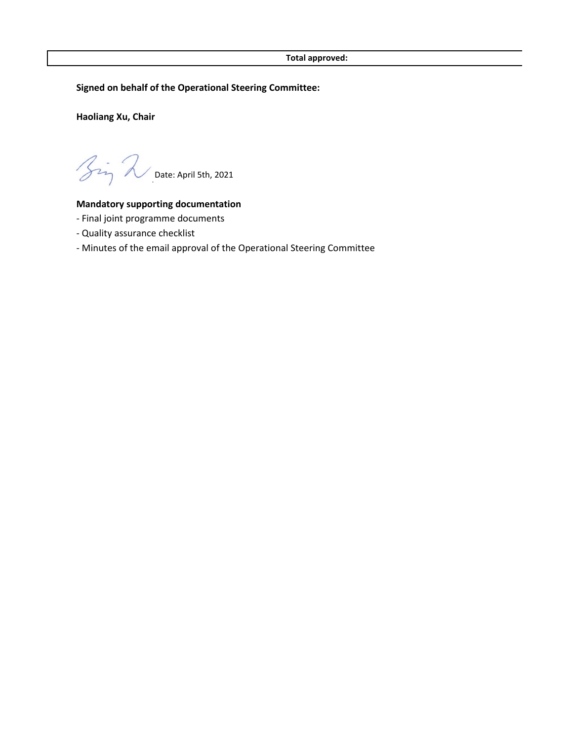**Signed on behalf of the Operational Steering Committee:**

**Haoliang Xu, Chair**

 $\gamma$  Date: April 5th, 2021

## **Mandatory supporting documentation**

- Final joint programme documents
- Quality assurance checklist
- Minutes of the email approval of the Operational Steering Committee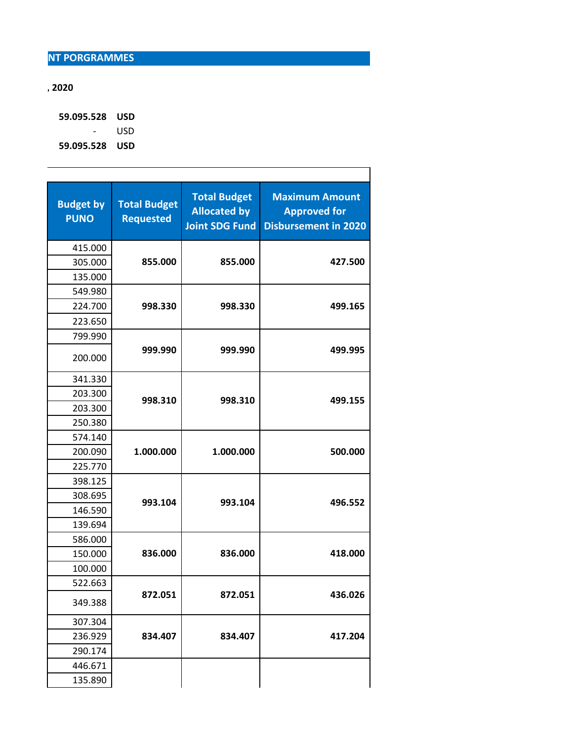## **, 2020**

 **59.095.528 USD** - USD  **59.095.528 USD**

| <b>Budget by</b><br><b>PUNO</b> | <b>Total Budget</b><br><b>Requested</b> | <b>Total Budget</b><br><b>Allocated by</b><br><b>Joint SDG Fund</b> | <b>Maximum Amount</b><br><b>Approved for</b><br><b>Disbursement in 2020</b> |
|---------------------------------|-----------------------------------------|---------------------------------------------------------------------|-----------------------------------------------------------------------------|
| 415.000                         |                                         |                                                                     |                                                                             |
| 305.000                         | 855.000                                 | 855.000                                                             | 427.500                                                                     |
| 135.000                         |                                         |                                                                     |                                                                             |
| 549.980                         |                                         |                                                                     |                                                                             |
| 224.700                         | 998.330                                 | 998.330                                                             | 499.165                                                                     |
| 223.650                         |                                         |                                                                     |                                                                             |
| 799.990                         |                                         |                                                                     |                                                                             |
| 200.000                         | 999.990                                 | 999.990                                                             | 499.995                                                                     |
| 341.330                         |                                         |                                                                     |                                                                             |
| 203.300                         | 998.310                                 |                                                                     | 499.155                                                                     |
| 203.300                         |                                         | 998.310                                                             |                                                                             |
| 250.380                         |                                         |                                                                     |                                                                             |
| 574.140                         |                                         |                                                                     |                                                                             |
| 200.090                         | 1.000.000                               | 1.000.000                                                           | 500.000                                                                     |
| 225.770                         |                                         |                                                                     |                                                                             |
| 398.125                         |                                         |                                                                     |                                                                             |
| 308.695                         | 993.104                                 | 993.104                                                             | 496.552                                                                     |
| 146.590                         |                                         |                                                                     |                                                                             |
| 139.694                         |                                         |                                                                     |                                                                             |
| 586.000                         |                                         |                                                                     |                                                                             |
| 150.000                         | 836.000                                 | 836.000                                                             | 418.000                                                                     |
| 100.000                         |                                         |                                                                     |                                                                             |
| 522.663                         |                                         |                                                                     |                                                                             |
| 349.388                         | 872.051                                 | 872.051                                                             | 436.026                                                                     |
| 307.304                         |                                         |                                                                     |                                                                             |
| 236.929                         | 834.407                                 | 834.407                                                             | 417.204                                                                     |
| 290.174                         |                                         |                                                                     |                                                                             |
| 446.671                         |                                         |                                                                     |                                                                             |
| 135.890                         |                                         |                                                                     |                                                                             |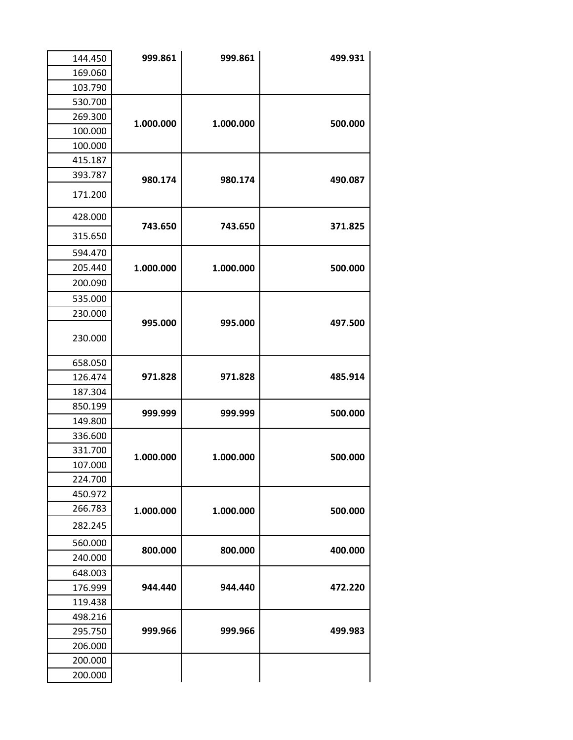| 144.450 | 999.861   | 999.861   | 499.931 |
|---------|-----------|-----------|---------|
| 169.060 |           |           |         |
| 103.790 |           |           |         |
| 530.700 |           |           |         |
| 269.300 | 1.000.000 | 1.000.000 | 500.000 |
| 100.000 |           |           |         |
| 100.000 |           |           |         |
| 415.187 |           |           |         |
| 393.787 | 980.174   | 980.174   | 490.087 |
| 171.200 |           |           |         |
| 428.000 | 743.650   | 743.650   | 371.825 |
| 315.650 |           |           |         |
| 594.470 |           |           |         |
| 205.440 | 1.000.000 | 1.000.000 | 500.000 |
| 200.090 |           |           |         |
| 535.000 |           |           |         |
| 230.000 |           |           |         |
| 230.000 | 995.000   | 995.000   | 497.500 |
| 658.050 |           |           |         |
| 126.474 | 971.828   | 971.828   | 485.914 |
| 187.304 |           |           |         |
| 850.199 | 999.999   | 999.999   | 500.000 |
| 149.800 |           |           |         |
| 336.600 |           |           |         |
| 331.700 | 1.000.000 | 1.000.000 | 500.000 |
| 107.000 |           |           |         |
| 224.700 |           |           |         |
| 450.972 |           |           |         |
| 266.783 | 1.000.000 | 1.000.000 | 500.000 |
| 282.245 |           |           |         |
| 560.000 | 800.000   | 800.000   |         |
| 240.000 |           |           | 400.000 |
| 648.003 |           |           |         |
| 176.999 | 944.440   | 944.440   | 472.220 |
| 119.438 |           |           |         |
| 498.216 |           |           |         |
| 295.750 | 999.966   | 999.966   | 499.983 |
| 206.000 |           |           |         |
| 200.000 |           |           |         |
| 200.000 |           |           |         |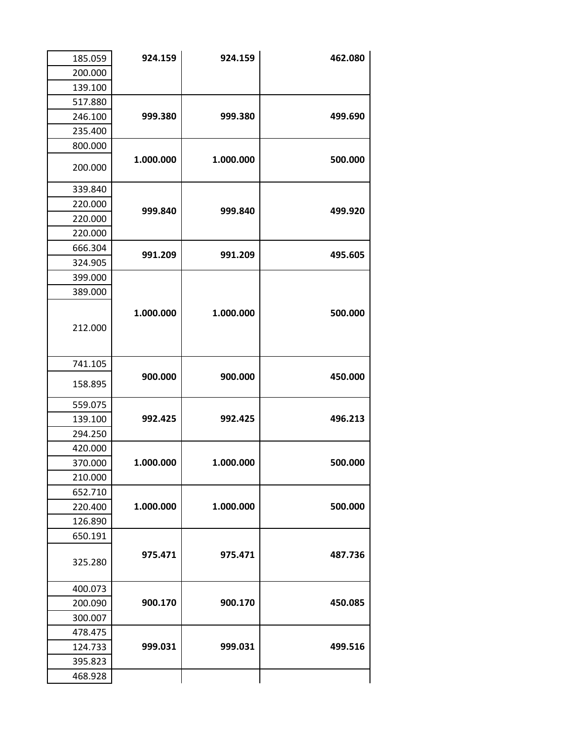| 185.059 | 924.159   | 924.159   | 462.080 |
|---------|-----------|-----------|---------|
| 200.000 |           |           |         |
| 139.100 |           |           |         |
| 517.880 |           |           |         |
| 246.100 | 999.380   | 999.380   | 499.690 |
| 235.400 |           |           |         |
| 800.000 |           |           |         |
| 200.000 | 1.000.000 | 1.000.000 | 500.000 |
| 339.840 |           |           |         |
| 220.000 | 999.840   | 999.840   | 499.920 |
| 220.000 |           |           |         |
| 220.000 |           |           |         |
| 666.304 | 991.209   | 991.209   | 495.605 |
| 324.905 |           |           |         |
| 399.000 |           |           |         |
| 389.000 |           |           |         |
| 212.000 | 1.000.000 | 1.000.000 | 500.000 |
| 741.105 |           |           |         |
| 158.895 | 900.000   | 900.000   | 450.000 |
| 559.075 |           |           |         |
| 139.100 | 992.425   | 992.425   | 496.213 |
| 294.250 |           |           |         |
| 420.000 |           |           |         |
| 370.000 | 1.000.000 | 1.000.000 | 500.000 |
| 210.000 |           |           |         |
| 652.710 |           |           |         |
| 220.400 | 1.000.000 | 1.000.000 | 500.000 |
| 126.890 |           |           |         |
| 650.191 |           |           |         |
| 325.280 | 975.471   | 975.471   | 487.736 |
| 400.073 |           |           |         |
| 200.090 | 900.170   | 900.170   | 450.085 |
| 300.007 |           |           |         |
| 478.475 |           |           |         |
| 124.733 | 999.031   | 999.031   | 499.516 |
| 395.823 |           |           |         |
| 468.928 |           |           |         |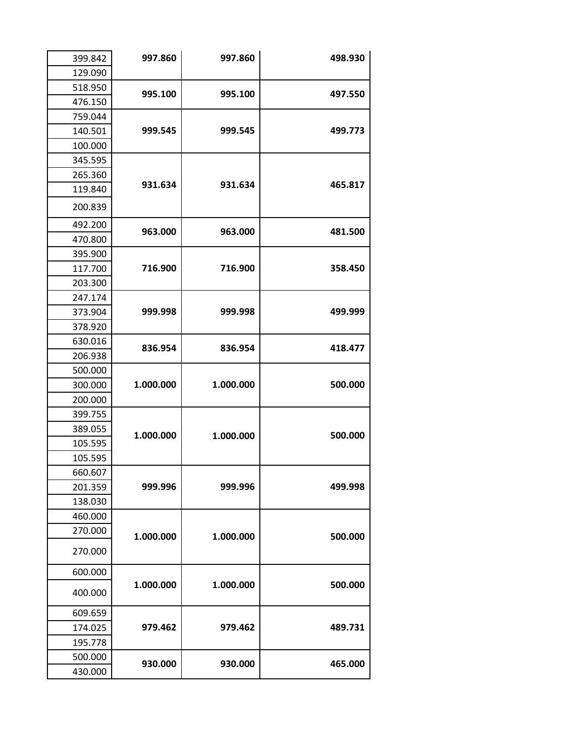| 399.842 | 997.860   | 997.860   | 498.930 |
|---------|-----------|-----------|---------|
| 129.090 |           |           |         |
| 518.950 | 995.100   | 995.100   |         |
| 476.150 |           |           | 497.550 |
| 759.044 |           |           |         |
| 140.501 | 999.545   | 999.545   | 499.773 |
| 100.000 |           |           |         |
| 345.595 |           |           |         |
| 265.360 |           |           |         |
| 119.840 | 931.634   | 931.634   | 465.817 |
| 200.839 |           |           |         |
| 492.200 | 963.000   | 963.000   | 481.500 |
| 470.800 |           |           |         |
| 395.900 |           |           |         |
| 117.700 | 716.900   | 716.900   | 358.450 |
| 203.300 |           |           |         |
| 247.174 |           |           |         |
| 373.904 | 999.998   | 999.998   | 499.999 |
| 378.920 |           |           |         |
| 630.016 | 836.954   | 836.954   | 418.477 |
| 206.938 |           |           |         |
| 500.000 |           |           |         |
| 300.000 | 1.000.000 | 1.000.000 | 500.000 |
| 200.000 |           |           |         |
| 399.755 |           |           |         |
| 389.055 | 1.000.000 | 1.000.000 | 500.000 |
| 105.595 |           |           |         |
| 105.595 |           |           |         |
| 660.607 |           |           |         |
| 201.359 | 999.996   | 999.996   | 499.998 |
| 138.030 |           |           |         |
| 460.000 |           |           |         |
| 270.000 | 1.000.000 | 1.000.000 | 500.000 |
| 270.000 |           |           |         |
| 600.000 |           |           |         |
| 400.000 | 1.000.000 | 1.000.000 | 500.000 |
| 609.659 |           |           |         |
| 174.025 | 979.462   | 979.462   | 489.731 |
| 195.778 |           |           |         |
| 500.000 |           |           |         |
| 430.000 | 930.000   | 930.000   | 465.000 |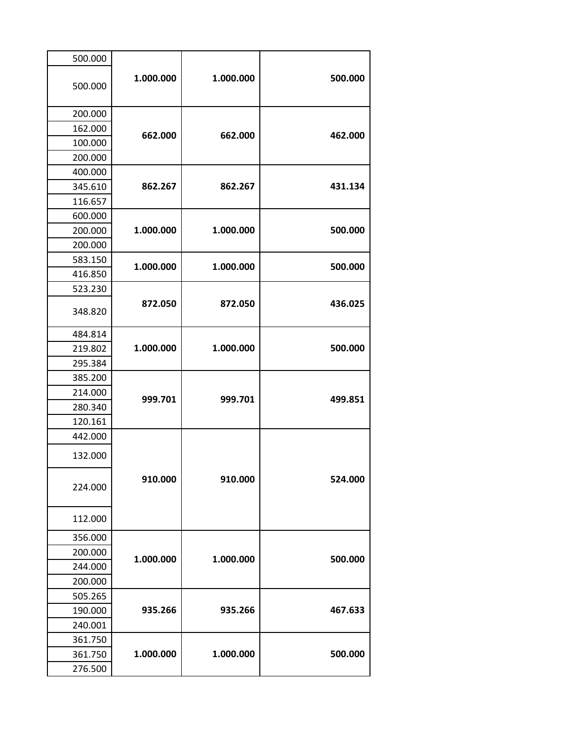| 500.000 |           |           |         |
|---------|-----------|-----------|---------|
| 500.000 | 1.000.000 | 1.000.000 | 500.000 |
| 200.000 |           |           |         |
| 162.000 |           |           |         |
| 100.000 | 662.000   | 662.000   | 462.000 |
| 200.000 |           |           |         |
| 400.000 |           |           |         |
| 345.610 | 862.267   | 862.267   | 431.134 |
| 116.657 |           |           |         |
| 600.000 |           |           |         |
| 200.000 | 1.000.000 | 1.000.000 | 500.000 |
| 200.000 |           |           |         |
| 583.150 |           | 1.000.000 |         |
| 416.850 | 1.000.000 |           | 500.000 |
| 523.230 |           |           |         |
| 348.820 | 872.050   | 872.050   | 436.025 |
| 484.814 |           | 1.000.000 |         |
| 219.802 | 1.000.000 |           | 500.000 |
| 295.384 |           |           |         |
| 385.200 |           |           |         |
| 214.000 | 999.701   | 999.701   | 499.851 |
| 280.340 |           |           |         |
| 120.161 |           |           |         |
| 442.000 |           |           |         |
| 132.000 |           |           |         |
| 224.000 | 910.000   | 910.000   | 524.000 |
| 112.000 |           |           |         |
| 356.000 |           |           |         |
| 200.000 | 1.000.000 | 1.000.000 | 500.000 |
| 244.000 |           |           |         |
| 200.000 |           |           |         |
| 505.265 |           |           |         |
| 190.000 | 935.266   | 935.266   | 467.633 |
| 240.001 |           |           |         |
| 361.750 |           |           |         |
| 361.750 | 1.000.000 | 1.000.000 | 500.000 |
| 276.500 |           |           |         |